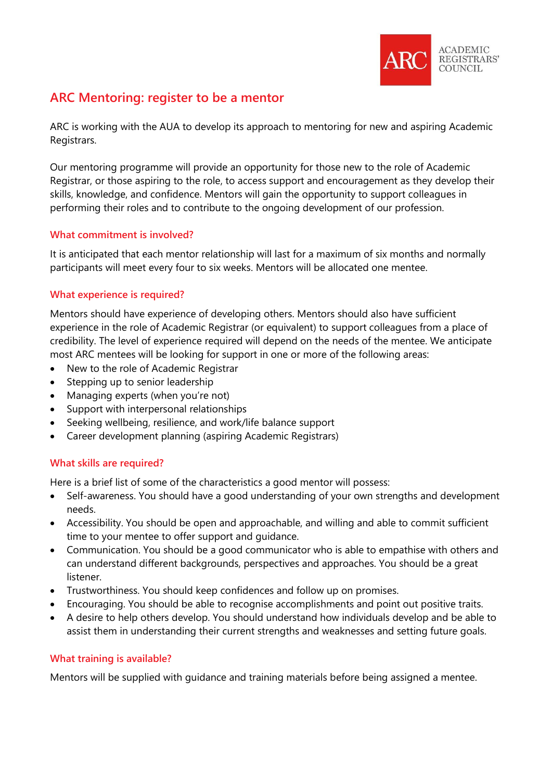

# **ARC Mentoring: register to be a mentor**

ARC is working with the AUA to develop its approach to mentoring for new and aspiring Academic Registrars.

Our mentoring programme will provide an opportunity for those new to the role of Academic Registrar, or those aspiring to the role, to access support and encouragement as they develop their skills, knowledge, and confidence. Mentors will gain the opportunity to support colleagues in performing their roles and to contribute to the ongoing development of our profession.

# **What commitment is involved?**

It is anticipated that each mentor relationship will last for a maximum of six months and normally participants will meet every four to six weeks. Mentors will be allocated one mentee.

# **What experience is required?**

Mentors should have experience of developing others. Mentors should also have sufficient experience in the role of Academic Registrar (or equivalent) to support colleagues from a place of credibility. The level of experience required will depend on the needs of the mentee. We anticipate most ARC mentees will be looking for support in one or more of the following areas:

- New to the role of Academic Registrar
- Stepping up to senior leadership
- Managing experts (when you're not)
- Support with interpersonal relationships
- Seeking wellbeing, resilience, and work/life balance support
- Career development planning (aspiring Academic Registrars)

# **What skills are required?**

Here is a brief list of some of the characteristics a good mentor will possess:

- Self-awareness. You should have a good understanding of your own strengths and development needs.
- Accessibility. You should be open and approachable, and willing and able to commit sufficient time to your mentee to offer support and guidance.
- Communication. You should be a good communicator who is able to empathise with others and can understand different backgrounds, perspectives and approaches. You should be a great listener.
- Trustworthiness. You should keep confidences and follow up on promises.
- Encouraging. You should be able to recognise accomplishments and point out positive traits.
- A desire to help others develop. You should understand how individuals develop and be able to assist them in understanding their current strengths and weaknesses and setting future goals.

# **What training is available?**

Mentors will be supplied with guidance and training materials before being assigned a mentee.